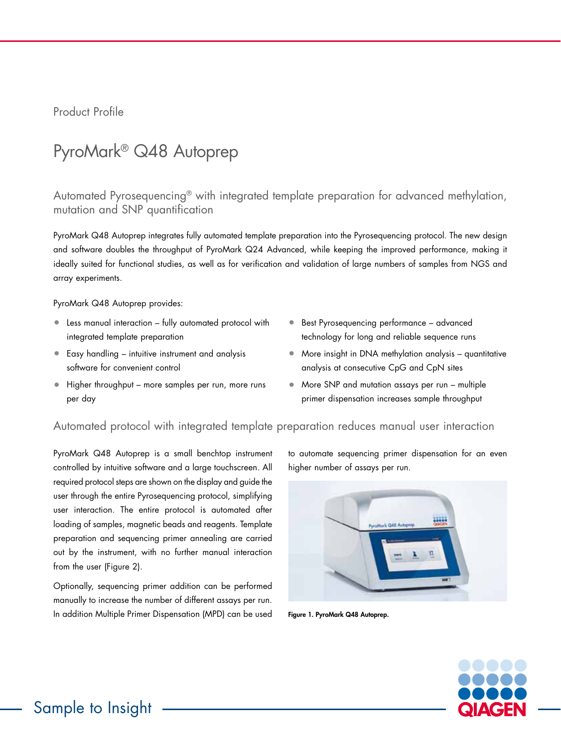Product Profile

# PyroMark® Q48 Autoprep

Automated Pyrosequencing® with integrated template preparation for advanced methylation, mutation and SNP quantification

PyroMark Q48 Autoprep integrates fully automated template preparation into the Pyrosequencing protocol. The new design and software doubles the throughput of PyroMark Q24 Advanced, while keeping the improved performance, making it ideally suited for functional studies, as well as for verification and validation of large numbers of samples from NGS and array experiments.

PyroMark Q48 Autoprep provides:

- Less manual interaction fully automated protocol with integrated template preparation
- Easy handling intuitive instrument and analysis software for convenient control
- Higher throughput more samples per run, more runs per day
- Best Pyrosequencing performance advanced technology for long and reliable sequence runs
- More insight in DNA methylation analysis quantitative analysis at consecutive CpG and CpN sites
- More SNP and mutation assays per run multiple primer dispensation increases sample throughput

# Automated protocol with integrated template preparation reduces manual user interaction

PyroMark Q48 Autoprep is a small benchtop instrument controlled by intuitive software and a large touchscreen. All required protocol steps are shown on the display and guide the user through the entire Pyrosequencing protocol, simplifying user interaction. The entire protocol is automated after loading of samples, magnetic beads and reagents. Template preparation and sequencing primer annealing are carried out by the instrument, with no further manual interaction from the user (Figure 2).

Optionally, sequencing primer addition can be performed manually to increase the number of different assays per run. In addition Multiple Primer Dispensation (MPD) can be used to automate sequencing primer dispensation for an even higher number of assays per run.



Figure 1. PyroMark Q48 Autoprep.

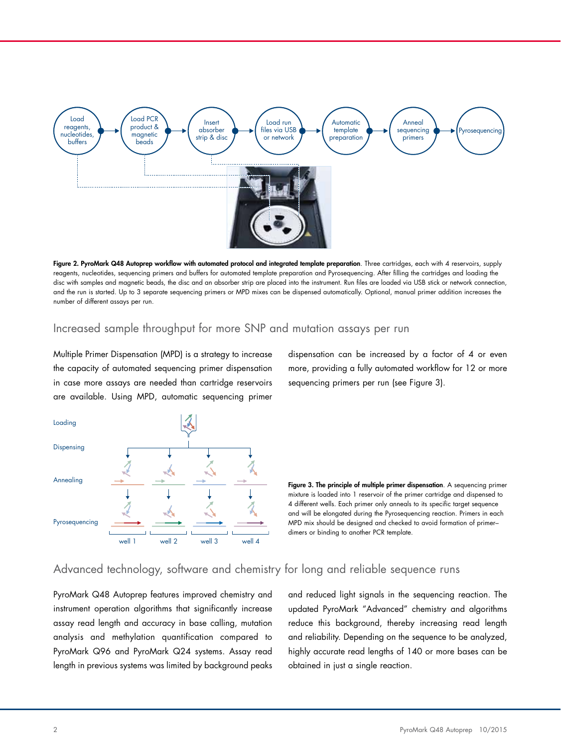

Figure 2. PyroMark Q48 Autoprep workflow with automated protocol and integrated template preparation. Three cartridges, each with 4 reservoirs, supply reagents, nucleotides, sequencing primers and buffers for automated template preparation and Pyrosequencing. After filling the cartridges and loading the disc with samples and magnetic beads, the disc and an absorber strip are placed into the instrument. Run files are loaded via USB stick or network connection, and the run is started. Up to 3 separate sequencing primers or MPD mixes can be dispensed automatically. Optional, manual primer addition increases the number of different assays per run.

#### Increased sample throughput for more SNP and mutation assays per run

Multiple Primer Dispensation (MPD) is a strategy to increase the capacity of automated sequencing primer dispensation in case more assays are needed than cartridge reservoirs are available. Using MPD, automatic sequencing primer





Figure 3. The principle of multiple primer dispensation. A sequencing primer mixture is loaded into 1 reservoir of the primer cartridge and dispensed to 4 different wells. Each primer only anneals to its specific target sequence and will be elongated during the Pyrosequencing reaction. Primers in each MPD mix should be designed and checked to avoid formation of primer–

dimers or binding to another PCR template.

#### Advanced technology, software and chemistry for long and reliable sequence runs

PyroMark Q48 Autoprep features improved chemistry and instrument operation algorithms that significantly increase assay read length and accuracy in base calling, mutation analysis and methylation quantification compared to PyroMark Q96 and PyroMark Q24 systems. Assay read length in previous systems was limited by background peaks

and reduced light signals in the sequencing reaction. The updated PyroMark "Advanced" chemistry and algorithms reduce this background, thereby increasing read length and reliability. Depending on the sequence to be analyzed, highly accurate read lengths of 140 or more bases can be obtained in just a single reaction.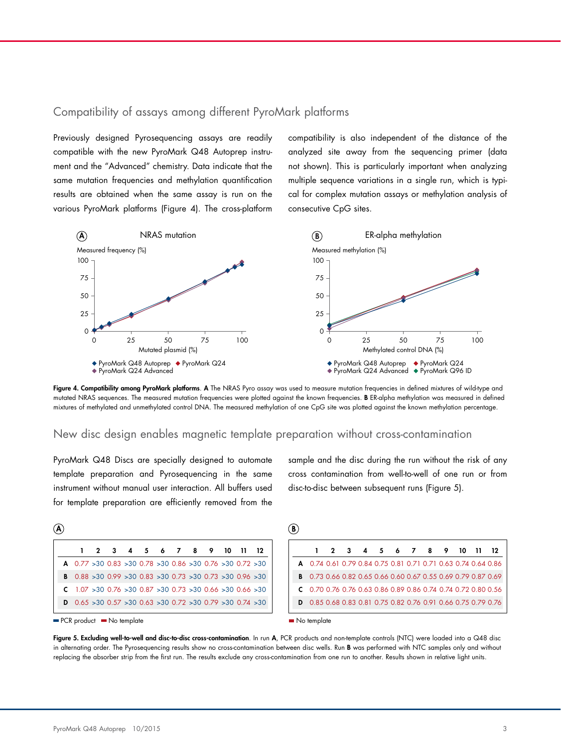## Compatibility of assays among different PyroMark platforms

Previously designed Pyrosequencing assays are readily compatible with the new PyroMark Q48 Autoprep instrument and the "Advanced" chemistry. Data indicate that the same mutation frequencies and methylation quantification results are obtained when the same assay is run on the various PyroMark platforms (Figure 4). The cross-platform compatibility is also independent of the distance of the analyzed site away from the sequencing primer (data not shown). This is particularly important when analyzing multiple sequence variations in a single run, which is typical for complex mutation assays or methylation analysis of consecutive CpG sites.



Figure 4. Compatibility among PyroMark platforms. A The NRAS Pyro assay was used to measure mutation frequencies in defined mixtures of wild-type and mutated NRAS sequences. The measured mutation frequencies were plotted against the known frequencies. B ER-alpha methylation was measured in defined mixtures of methylated and unmethylated control DNA. The measured methylation of one CpG site was plotted against the known methylation percentage.

# New disc design enables magnetic template preparation without cross-contamination A

PyroMark Q48 Discs are specially designed to automate template preparation and Pyrosequencing in the same instrument without manual user interaction. All buffers used for template preparation are efficiently removed from the

sample and the disc during the run without the risk of any cross contamination from well-to-well of one run or from disc-to-disc between subsequent runs (Figure 5).

|                                                                                  |  |  | 1 2 3 4 5 6 7 8 9 10 11 12 |  |  |  |
|----------------------------------------------------------------------------------|--|--|----------------------------|--|--|--|
| <b>A</b> $0.77 > 30$ $0.83 > 30$ $0.78 > 30$ $0.86 > 30$ $0.76 > 30$ $0.72 > 30$ |  |  |                            |  |  |  |
| <b>B</b> $0.88 > 30$ $0.99 > 30$ $0.83 > 30$ $0.73 > 30$ $0.73 > 30$ $0.96 > 30$ |  |  |                            |  |  |  |
| $\textsf{C}$ 1.07 > 30 0.76 > 30 0.87 > 30 0.73 > 30 0.66 > 30 0.66 > 30         |  |  |                            |  |  |  |
| <b>D</b> 0.65 $>30$ 0.57 $>30$ 0.63 $>30$ 0.72 $>30$ 0.79 $>30$ 0.74 $>30$       |  |  |                            |  |  |  |

**B** 

|                                                                      | 1 2 3 4 5 6 7 8 9 10 11 12 |  |  |  |  |  |
|----------------------------------------------------------------------|----------------------------|--|--|--|--|--|
| <b>A</b> 0.74 0.61 0.79 0.84 0.75 0.81 0.71 0.71 0.63 0.74 0.64 0.86 |                            |  |  |  |  |  |
| <b>B</b> 0.73 0.66 0.82 0.65 0.66 0.60 0.67 0.55 0.69 0.79 0.87 0.69 |                            |  |  |  |  |  |
| $C$ 0.70 0.76 0.76 0.63 0.86 0.89 0.86 0.74 0.74 0.72 0.80 0.56      |                            |  |  |  |  |  |
| <b>D</b> 0.85 0.68 0.83 0.81 0.75 0.82 0.76 0.91 0.66 0.75 0.79 0.76 |                            |  |  |  |  |  |
|                                                                      |                            |  |  |  |  |  |

 $\mathbf{A}$ 

No template

Figure 5. Excluding well-to-well and disc-to-disc cross-contamination. In run A, PCR products and non-template controls (NTC) were loaded into a Q48 disc in alternating order. The Pyrosequencing results show no cross-contamination between disc wells. Run **B** was performed with NTC samples only and without replacing the absorber strip from the first run. The results exclude any cross-contamination from one run to another. Results shown in relative light units.<br>

PCR product No template